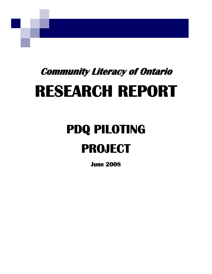# **Community Literacy of Ontario RESEARCH REPORT**

# **PDQ PILOTING PROJECT**

**June 2008**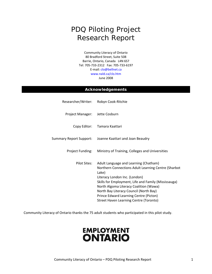# PDQ Piloting Project Research Report

Community Literacy of Ontario 80 Bradford Street, Suite 508 Barrie, Ontario, Canada L4N 6S7 Tel: 705‐733‐2312 Fax: 705‐733‐6197 E‐mail: clo@bellnet.ca www.nald.ca/clo.htm June 2008

#### **Acknowledgements**

|                                | Researcher/Writer: Robyn Cook-Ritchie                                                                                                                                                                                                                                                                                                                                  |
|--------------------------------|------------------------------------------------------------------------------------------------------------------------------------------------------------------------------------------------------------------------------------------------------------------------------------------------------------------------------------------------------------------------|
| Project Manager: Jette Cosburn |                                                                                                                                                                                                                                                                                                                                                                        |
|                                | Copy Editor: Tamara Kaattari                                                                                                                                                                                                                                                                                                                                           |
|                                | Summary Report Support: Joanne Kaattari and Joan Beaudry                                                                                                                                                                                                                                                                                                               |
| Project Funding:               | Ministry of Training, Colleges and Universities                                                                                                                                                                                                                                                                                                                        |
| Pilot Sites:                   | Adult Language and Learning (Chatham)<br>Northern Connections Adult Learning Centre (Sharbot<br>Lake)<br>Literacy London Inc. (London)<br>Skills for Employment, Life and Family (Mississauga)<br>North Algoma Literacy Coalition (Wawa)<br>North Bay Literacy Council (North Bay)<br>Prince Edward Learning Centre (Picton)<br>Street Haven Learning Centre (Toronto) |

Community Literacy of Ontario thanks the 75 adult students who participated in this pilot study.

# **EMPLOYMENT ONTARIO**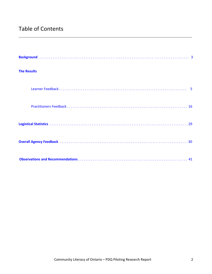# Table of Contents

| <b>The Results</b> |
|--------------------|
|                    |
|                    |
|                    |
|                    |
|                    |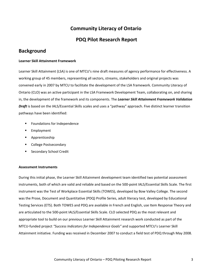# **Community Literacy of Ontario**

## **PDQ Pilot Research Report**

# <span id="page-3-0"></span>**Background**

#### **Learner Skill Attainment Framework**

Learner Skill Attainment (LSA) is one of MTCU's nine draft measures of agency performance for effectiveness. A working group of 45 members, representing all sectors, streams, stakeholders and original projects was convened early in 2007 by MTCU to facilitate the development of the LSA framework. Community Literacy of Ontario (CLO) was an active participant in the LSA Framework Development Team, collaborating on, and sharing in, the development of the framework and its components. The *Learner Skill Attainment Framework Validation Draft* is based on the IALS/Essential Skills scales and uses a "pathway" approach. Five distinct learner transition pathways have been identified:

- **Foundations for Independence**
- **Employment**
- **Apprenticeship**
- College Postsecondary
- Secondary School Credit

#### **Assessment Instruments**

During this initial phase, the Learner Skill Attainment development team identified two potential assessment instruments, both of which are valid and reliable and based on the 500‐point IALS/Essential Skills Scale. The first instrument was the Test of Workplace Essential Skills (TOWES), developed by Bow Valley College. The second was the Prose, Document and Quantitative (PDQ) Profile Series, adult literacy test, developed by Educational Testing Services (ETS). Both TOWES and PDQ are available in French and English, use Item Response Theory and are articulated to the 500‐point IALS/Essential Skills Scale. CLO selected PDQ as the most relevant and appropriate tool to build on our previous Learner Skill Attainment research work conducted as part of the MTCU‐funded project *"Success Indicators for Independence Goals"* and supported MTCU's Learner Skill Attainment initiative. Funding was received in December 2007 to conduct a field test of PDQ through May 2008.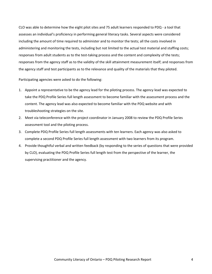CLO was able to determine how the eight pilot sites and 75 adult learners responded to PDQ ‐ a tool that assesses an individual's proficiency in performing general literacy tasks. Several aspects were considered including the amount of time required to administer and to monitor the tests; all the costs involved in administering and monitoring the tests, including but not limited to the actual test material and staffing costs; responses from adult students as to the test-taking process and the content and complexity of the tests; responses from the agency staff as to the validity of the skill attainment measurement itself; and responses from the agency staff and test participants as to the relevance and quality of the materials that they piloted.

Participating agencies were asked to do the following:

- 1. Appoint a representative to be the agency lead for the piloting process. The agency lead was expected to take the PDQ Profile Series full length assessment to become familiar with the assessment process and the content. The agency lead was also expected to become familiar with the PDQ website and with troubleshooting strategies on the site.
- 2. Meet via teleconference with the project coordinator in January 2008 to review the PDQ Profile Series assessment tool and the piloting process.
- 3. Complete PDQ Profile Series full length assessments with ten learners. Each agency was also asked to complete a second PDQ Profile Series full length assessment with two learners from its program.
- 4. Provide thoughtful verbal and written feedback (by responding to the series of questions that were provided by CLO), evaluating the PDQ Profile Series full length test from the perspective of the learner, the supervising practitioner and the agency.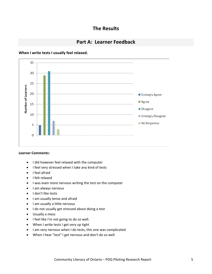## **The Results**

## **Part A: Learner Feedback**

#### <span id="page-5-0"></span>**When I write tests I usually feel relaxed.**



#### **Learner Comments:**

- I did however feel relaxed with the computer
- I feel very stressed when I take any kind of tests
- I feel afraid
- I felt relaxed
- I was even more nervous writing the test on the computer
- I am always nervous
- I don't like tests
- I am usually tense and afraid
- I am usually a little nervous
- I do not usually get stressed about doing a test
- Usually a mess
- I feel like I'm not going to do so well.
- When I write tests I get very up tight
- I am very nervous when I do tests, this one was complicated
- When I hear "test" I get nervous and don't do so well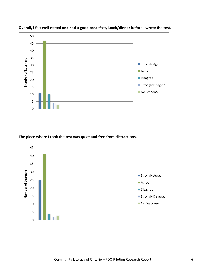

**Overall, I felt well rested and had a good breakfast/lunch/dinner before I wrote the test.** 

**The place where I took the test was quiet and free from distractions.**

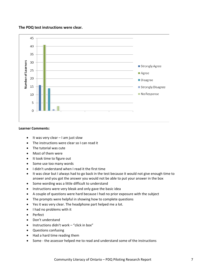#### **The PDQ test instructions were clear.**



#### **Learner Comments:**

- It was very clear I am just slow
- The instructions were clear so I can read it
- The tutorial was cute
- Most of them were
- It took time to figure out
- Some use too many words
- I didn't understand when I read it the first time
- It was clear but I always had to go back in the test because it would not give enough time to answer and you got the answer you would not be able to put your answer in the box
- Some wording was a little difficult to understand
- Instructions were very bleak and only gave the basic idea
- A couple of questions were hard because I had no prior exposure with the subject
- The prompts were helpful in showing how to complete questions
- Yes it was very clear. The headphone part helped me a lot.
- I had no problems with it
- Perfect
- Don't understand
- Instructions didn't work "click in box"
- Questions confusing
- Had a hard time reading them
- Some the assessor helped me to read and understand some of the instructions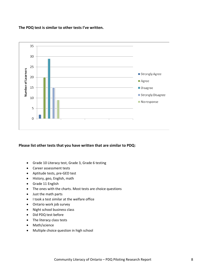#### **The PDQ test is similar to other tests I've written.**



#### **Please list other tests that you have written that are similar to PDQ:**

- Grade 10 Literacy test, Grade 3, Grade 6 testing
- Career assessment tests
- Aptitude tests, pre‐GED test
- History, geo, English, math
- Grade 11 English
- The ones with the charts. Most tests are choice questions
- Just the math parts
- I took a test similar at the welfare office
- Ontario work job survey
- Night school business class
- Did PDQ test before
- The literacy class tests
- Math/science
- Multiple choice question in high school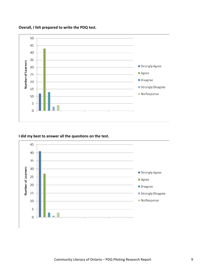

**Overall, I felt prepared to write the PDQ test.**

#### **I did my best to answer all the questions on the test.**

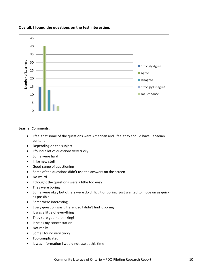

#### **Overall, I found the questions on the test interesting.**

#### **Learner Comments:**

- I feel that some of the questions were American and I feel they should have Canadian content
- Depending on the subject
- I found a lot of questions very tricky
- Some were hard
- I like new stuff
- Good range of questioning
- Some of the questions didn't use the answers on the screen
- No weird
- I thought the questions were a little too easy
- They were boring
- Some were okay but others were do difficult or boring I just wanted to move on as quick as possible
- Some were interesting
- Every question was different so I didn't find it boring
- It was a little of everything
- They sure got me thinking!
- It helps my concentration
- Not really
- Some I found very tricky
- Too complicated
- It was information I would not use at this time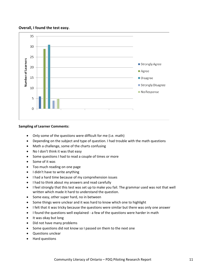#### **Overall, I found the test easy.**



#### **Sampling of Learner Comments:**

- Only some of the questions were difficult for me (i.e. math)
- Depending on the subject and type of question. I had trouble with the math questions
- Math a challenge, some of the charts confusing
- No I don't think it was that easy
- Some questions I had to read a couple of times or more
- Some of it was
- Too much reading on one page
- I didn't have to write anything
- I had a hard time because of my comprehension issues
- I had to think about my answers and read carefully
- I feel strongly that this test was set up to make you fail. The grammar used was not that well written which made it hard to understand the question.
- Some easy, other super hard, no in between
- Some things were unclear and it was hard to know which one to highlight
- I felt that it was tricky because the questions were similar but there was only one answer
- I found the questions well explained ‐ a few of the questions were harder in math
- It was okay but long
- Did not have many problems
- Some questions did not know so I passed on them to the next one
- Questions unclear
- Hard questions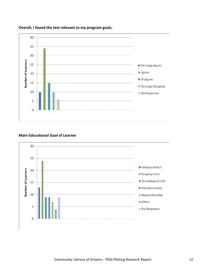

**Overall, I found the test relevant to my program goals.**

#### **Main Educational Goal of Learner**

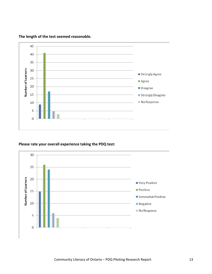

#### **The length of the test seemed reasonable.**

#### **Please rate your overall experience taking the PDQ test:**

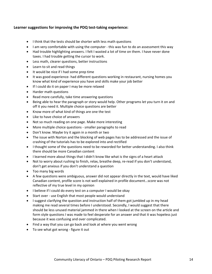#### **Learner suggestions for improving the PDQ test‐taking experience:**

- I think that the tests should be shorter with less math questions
- I am very comfortable with using the computer this was fun to do an assessment this way
- Had trouble highlighting answers. I felt I wasted a lot of time on them. I have never done taxes. I had trouble getting the cursor to work.
- Less math, clearer questions, better instructions
- Learn to sit and read things
- It would be nice if I had some prep time
- It was good experience- had different questions working in restaurant, nursing homes you know what kind of experience you have and skills make your job better
- If I could do it on paper I may be more relaxed
- Harder math questions
- Read more carefully, take time answering questions
- Being able to hear the paragraph or story would help. Other programs let you turn it on and off it you need it. Multiple choice questions are better
- Know more of what kind of things are one the test
- Like to have choice of answers
- Not so much reading on one page. Make more interesting
- More multiple choice questions smaller paragraphs to read
- Don't know. Maybe try it again in a month or two
- The issue with Norton and the blocking of web pages has to be addressed and the issue of crashing of the tutorials has to be explored into and rectified
- I thought some of the questions need to be reworded for better understanding. I also think there should be more Canadian content
- I learned more about things that I didn't know like what is the signs of a heart attack
- Not to worry about rushing to finish, relax, breathe deep, re-read if you don't understand, don't get anxious if you don't understand a question
- Too many big words
- A few questions were ambiguous, answer did not appear directly in the text, would have liked Canadian content, profile score is not well explained in profile document…score was not reflective of my true level in my opinion
- I believe if I could do every test on a computer I would be okay
- Start over use English that most people would understand
- I suggest clarifying the question and instruction half of them got jumbled up in my head making me read several times before I understood. Secondly, I would suggest that there should be less unused material jammed in there when I looked at the screen on the article and form style questions I was made to feel desperate for an answer and that it was hopeless just because it was confusing and over complicated.
- Find a way that you can go back and look at where you went wrong
- To see what got wrong ‐ figure it out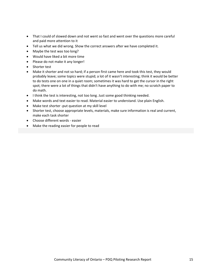- That I could of slowed down and not went so fast and went over the questions more careful and paid more attention to it
- Tell us what we did wrong. Show the correct answers after we have completed it.
- Maybe the test was too long?
- Would have liked a bit more time
- Please do not make it any longer!
- Shorter test
- Make it shorter and not so hard; if a person first came here and took this test, they would probably leave; some topics were stupid; a lot of it wasn't interesting; think it would be better to do tests one on one in a quiet room; sometimes it was hard to get the cursor in the right spot; there were a lot of things that didn't have anything to do with me; no scratch paper to do math.
- I think the test is interesting, not too long. Just some good thinking needed.
- Make words and text easier to read. Material easier to understand. Use plain English.
- Make test shorter -put question at my skill level
- Shorter test, choose appropriate levels, materials, make sure information is real and current, make each task shorter
- Choose different words ‐ easier
- Make the reading easier for people to read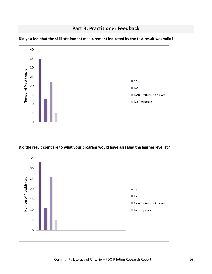**Part B: Practitioner Feedback**



<span id="page-16-0"></span>**Did you feel that the skill attainment measurement indicated by the test result was valid?**

#### **Did the result compare to what your program would have assessed the learner level at?**

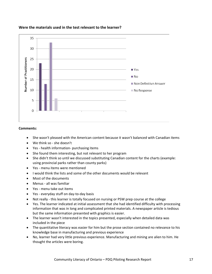

#### **Were the materials used in the test relevant to the learner?**

#### **Comments:**

- She wasn't pleased with the American content because it wasn't balanced with Canadian items
- We think so ‐ she doesn't
- Yes ‐ health information‐ purchasing items
- She found them interesting, but not relevant to her program
- She didn't think so until we discussed substituting Canadian content for the charts (example: using provincial parks rather than county parks)
- Yes ‐ menu items were mentioned
- I would think the lists and some of the other documents would be relevant
- Most of the documents
- Menus ‐ all was familiar
- Yes ‐ menu take out items
- Yes ‐ everyday stuff on day‐to‐day basis
- Not really this learner is totally focused on nursing or PSW prep course at the college
- Yes. The learner indicated at initial assessment that she had identified difficulty with processing information that was in long and complicated printed materials. A newspaper article is tedious but the same information presented with graphics is easier.
- The learner wasn't interested in the topics presented, especially when detailed data was included in the piece
- The quantitative literacy was easier for him but the prose section contained no relevance to his knowledge base in manufacturing and previous experience
- No, learner had very little previous experience. Manufacturing and mining are alien to him. He thought the articles were boring.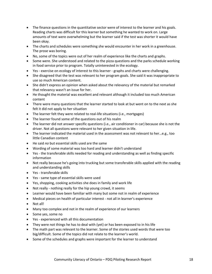- The finance questions in the quantitative sector were of interest to the learner and his goals. Reading charts was difficult for this learner but something he wanted to work on. Large amounts of text were overwhelming but the learner said if the test was shorter it would have been okay.
- The charts and schedules were something she would encounter in her work in a greenhouse. The prose was boring.
- No, some of the topics were out of her realm of experience like the charts and graphs.
- Some were. She understood and related to the pizza questions and the parks schedule working in food service prior to program. Totally uninterested in the ecology.
- Yes exercise on ecology of interest to this learner graphs and charts were challenging.
- She disagreed that the test was relevant to her program goals. She said it was inappropriate to use so much American content.
- She didn't express an opinion when asked about the relevancy of the material but remarked that relevancy wasn't an issue for her.
- He thought the material was excellent and relevant although it included too much American content
- There were many questions that the learner started to look at but went on to the next as she felt it did not apply to her situation
- The learner felt they were related to real-life situations (i.e., mortgages)
- The learner found some of the questions out of his realm
- The learner did not answer specific questions (i.e., air conditioner in car) because she is not the driver. Not all questions were relevant to her given situation in life.
- The learner indicated the material used in the assessment was not relevant to her…e.g., too little Canadian content
- He said *no* but essential skills used are the same
- Wording of some material was too hard and learner didn't understand
- Yes the transferable skills needed for reading and understanding as well as finding specific information
- Not really because he's going into trucking but some transferable skills applied with the reading and understanding skills
- Yes ‐ transferable skills
- Yes ‐ same type of essential skills were used
- Yes, shopping, cooking activities she does in family and work life
- Not really nothing really for the hip young crowd, it seems
- Learner would have been familiar with many but some not in realm of experience
- Medical pieces on health of particular interest not all in learner's experience
- Not all!
- Many too complex and not in the realm of experience of our learners
- Some yes, some no
- Yes ‐ experienced with all this documentation
- They were not things he has to deal with (yet) or has been exposed to in his life
- The math part was relevant to the learner. Some of the stories used words that were too big/difficult. Some of the topics did not relate to the learner's world.
- Some of the schedules and graphs were important for the learner to understand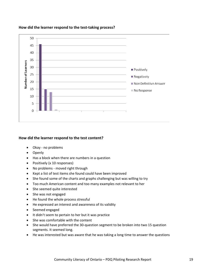

#### **How did the learner respond to the test‐taking process?**

#### **How did the learner respond to the test content?**

- Okay ‐ no problems
- Openly
- Has a block when there are numbers in a question
- Positively (x 10 responses)
- No problems moved right through
- Kept a list of test items she found could have been improved
- She found some of the charts and graphs challenging but was willing to try
- Too much American content and too many examples not relevant to her
- She seemed quite interested
- She was not engaged
- He found the whole process stressful
- He expressed an interest and awareness of its validity
- Seemed engaged
- It didn't seem to pertain to her but it was practice
- She was comfortable with the content
- She would have preferred the 30-question segment to be broken into two 15 question segments. It seemed long.
- He was interested but was aware that he was taking a long time to answer the questions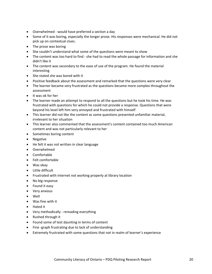- Overwhelmed ‐ would have preferred a section a day
- Some of it was boring, especially the longer prose. His responses were mechanical. He did not pick up on contextual clues.
- The prose was boring
- She couldn't understand what some of the questions were meant to show
- The content was too hard to find she had to read the whole passage for information and she didn't like it
- The content was secondary to the ease of use of the program. He found the material interesting
- She stated she was bored with it
- Positive feedback about the assessment and remarked that the questions were very clear
- The learner became very frustrated as the questions became more complex throughout the assessment
- It was ok for her
- The learner made an attempt to respond to all the questions but he took his time. He was frustrated with questions for which he could not provide a response. Questions that were beyond his level left him very annoyed and frustrated with himself
- This learner did not like the content as some questions presented unfamiliar material, irrelevant to her situation
- This learner also commented that the assessment's content contained too much American content and was not particularly relevant to her
- Sometimes boring content
- Negative
- He felt it was not written in clear language
- Overwhelmed
- Comfortable
- Felt comfortable
- Was okay
- Little difficult
- Frustrated with Internet not working properly at library location
- No big response
- Found it easy
- Very anxious
- Well
- Was fine with it
- Hated it
- Very methodically rereading everything
- Rushed through it
- Found some of test daunting in terms of content
- Fine -graph frustrating due to lack of understanding
- Extremely frustrated with some questions that not in realm of learner's experience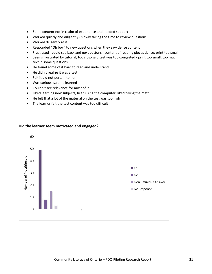- Some content not in realm of experience and needed support
- Worked quietly and diligently slowly taking the time to review questions
- Worked diligently at it
- Responded "Oh boy" to new questions when they saw dense content
- Frustrated could see back and next buttons content of reading pieces dense; print too small
- Seems frustrated by tutorial; too slow-said test was too congested print too small; too much text in some questions
- He found some of it hard to read and understand
- He didn't realize it was a test
- Felt it did not pertain to her
- Was curious, said he learned
- Couldn't see relevance for most of it
- Liked learning new subjects, liked using the computer, liked trying the math
- He felt that a lot of the material on the test was too high
- The learner felt the test content was too difficult



#### **Did the learner seem motivated and engaged?**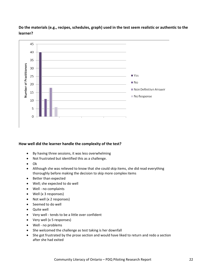### **Do the materials (e.g., recipes, schedules, graph) used in the test seem realistic or authentic to the learner?**



#### **How well did the learner handle the complexity of the test?**

- By having three sessions, it was less overwhelming
- Not frustrated but identified this as a challenge.
- Ok
- Although she was relieved to know that she could skip items, she did read everything thoroughly before making the decision to skip more complex items
- Better than expected
- Well; she expected to do well
- Well no complaints
- Well (x 3 responses)
- Not well (x 2 responses)
- Seemed to do well
- Quite well
- Very well ‐ tends to be a little over confident
- Very well (x 5 responses)
- Well ‐ no problems
- She welcomed the challenge as test taking is her downfall
- She got frustrated by the prose section and would have liked to return and redo a section after she had exited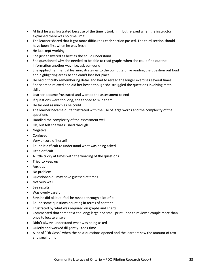- At first he was frustrated because of the time it took him, but relaxed when the instructor explained there was no time limit
- The learner shared that it got more difficult as each section passed. The third section should have been first when he was fresh
- He just kept working
- She just answered as best as she could understand
- She questioned why she needed to be able to read graphs when she could find out the information another way ‐ i.e. ask someone
- She applied her manual learning strategies to the computer, like reading the question out loud and highlighting areas so she didn't lose her place
- He had difficulty remembering detail and had to reread the longer exercises several times
- She seemed relaxed and did her best although she struggled the questions involving math skills
- Learner became frustrated and wanted the assessment to end
- If questions were too long, she tended to skip them
- He tackled as much as he could
- The learner became quite frustrated with the use of large words and the complexity of the questions
- Handled the complexity of the assessment well
- Ok, but felt she was rushed through
- Negative
- Confused
- Very unsure of herself
- Found it difficult to understand what was being asked
- Little difficult
- A little tricky at times with the wording of the questions
- Tried to keep up
- Anxious
- No problem
- Questionable ‐ may have guessed at times
- Not very well
- See results
- Was overly careful
- Says he did ok but I feel he rushed through a lot of it
- Found some questions daunting in terms of content
- Frustrated by what was required on graphs and charts
- Commented that some text too long; large and small print had to review a couple more than once to locate answer
- Didn't always understand what was being asked
- Quietly and worked diligently ‐ took time
- A lot of "Oh Gosh" when the next questions opened and the learners saw the amount of text and small print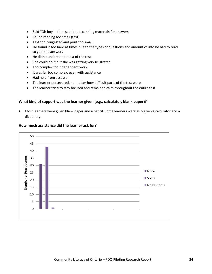- Said "Oh boy" ‐ then set about scanning materials for answers
- Found reading too small (text)
- Text too congested and print too small
- He found it too hard at times due to the types of questions and amount of info he had to read to gain the answers
- He didn't understand most of the test
- She could do it but she was getting very frustrated
- Too complex for independent work
- It was far too complex, even with assistance
- Had help from assessor
- The learner persevered, no matter how difficult parts of the test were
- The learner tried to stay focused and remained calm throughout the entire test

#### **What kind of support was the learner given (e.g., calculator, blank paper)?**

• Most learners were given blank paper and a pencil. Some learners were also given a calculator and a dictionary.



#### **How much assistance did the learner ask for?**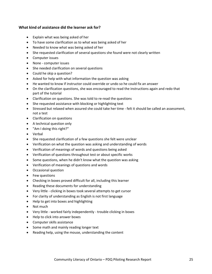#### **What kind of assistance did the learner ask for?**

- Explain what was being asked of her
- To have some clarification as to what was being asked of her
- Needed to know what was being asked of her
- She requested clarification of several questions she found were not clearly written
- Computer issues
- None computer issues
- She needed clarification on several questions
- Could he skip a question?
- Asked for help with what information the question was asking
- He wanted to know if instructor could override or undo so he could fix an answer
- On the clarification questions, she was encouraged to read the instructions again and redo that part of the tutorial
- Clarification on questions. She was told to re‐read the questions
- She requested assistance with blocking or highlighting text
- Stressed but relaxed when assured she could take her time ‐ felt it should be called an assessment, not a test
- Clarification on questions
- A technical question only
- "Am I doing this right?"
- Verbal
- She requested clarification of a few questions she felt were unclear
- Verification on what the question was asking and understanding of words
- Verification of meanings of words and questions being asked
- Verification of questions throughout test or about specific works
- Some questions, when he didn't know what the question was asking
- Verification of meanings of questions and words
- Occasional question
- Few questions
- Checking in boxes proved difficult for all, including this learner
- Reading these documents for understanding
- Very little ‐ clicking in boxes took several attempts to get cursor
- For clarity of understanding as English is not first language
- Help to get into boxes and highlighting
- Not much **that is a structure of the structure of the structure of the structure of the structure of the structure of the structure of the structure of the structure of the structure of the structure of the structure of**
- Very little ‐ worked fairly independently ‐ trouble clicking in boxes
- Help to click into answer boxes
- Computer skills assistance
- Some math and mainly reading longer text
- Reading help, using the mouse, understanding the content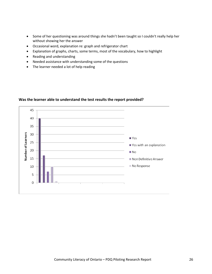- Some of her questioning was around things she hadn't been taught so I couldn't really help her without showing her the answer
- Occasional word, explanation re: graph and refrigerator chart
- Explanation of graphs, charts, some terms, most of the vocabulary, how to highlight
- Reading and understanding
- Needed assistance with understanding some of the questions
- The learner needed a lot of help reading



#### **Was the learner able to understand the test results the report provided?**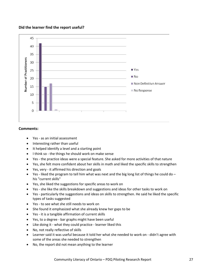#### **Did the learner find the report useful?**



#### **Comments:**

- Yes ‐ as an initial assessment
- Interesting rather than useful
- It helped identify a level and a starting point
- I think so the things he should work on make sense
- Yes the practice ideas were a special feature. She asked for more activities of that nature
- Yes, she felt more confident about her skills in math and liked the specific skills to strengthen
- Yes, very ‐ it affirmed his direction and goals
- Yes liked the program to tell him what was next and the big long list of things he could do his "current skills"
- Yes, she liked the suggestions for specific areas to work on
- Yes she like the skills breakdown and suggestions and ideas for other tasks to work on
- Yes ‐ particularly the suggestions and ideas on skills to strengthen. He said he liked the specific types of tasks suggested
- Yes ‐ to see what she still needs to work on
- She found it emphasized what she already knew her gaps to be
- Yes ‐ it is a tangible affirmation of current skills
- Yes, to a degree ‐ bar graphs might have been useful
- Like doing it ‐ what they could practice ‐ learner liked this
- No, not really reflective of skills
- Learner said it was useful because it told her what she needed to work on ‐ didn't agree with some of the areas she needed to strengthen
- No, the report did not mean anything to the learner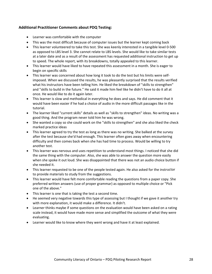#### **Additional Practitioner Comments about PDQ Testing:**

- Learner was comfortable with the computer
- This was the most difficult because of computer issues but the learner kept coming back
- This learner volunteered to take this test. She was keenly interested in a tangible level 0‐500 as opposed to LBS level 3. She cannot relate to LBS levels. She would like to take similar tests at a later date and as a result of the assessment has requested additional instruction to get up to speed. The whole report, with its breakdowns, totally appealed to this learner.
- This learner would have liked to have repeated this assessment in a month. She is eager to begin on specific skills
- This learner was concerned about how long it took to do the test but his limits were selfimposed. When we discussed the results, he was pleasantly surprised that the results verified what his instructors have been telling him. He liked the breakdown of "skills to strengthen" and "skills to build in the future." He said it made him feel like he didn't have to do it all at once. He would like to do it again later.
- This learner is slow and methodical in everything he does and says. He did comment that it would have been easier if he had a choice of audio in the more difficult passages like in the tutorial.
- The learner liked "current skills" details as well as "skills to strengthen" ideas. No writing was a good thing. And the program never told him he was wrong.
- She wanted a copy so she could work on the "skills to strengthen" and she also liked the check marked practice ideas
- This learner agreed to try the test as long as there was no writing. She balked at the survey after the test because she'd had enough. This learner often goes away when encountering difficulty and then comes back when she has had time to process. Would be willing to try another test.
- This learner was nervous and uses repetition to understand most things. I noticed that she did the same thing with the computer. Also, she was able to answer the question more easily when she spoke it out loud. She was disappointed that there was not an audio choice button if she needed it.
- This learner requested to be one of the people tested again. He also asked for the instructor to provide materials to study from the suggestions.
- This learner would have felt more comfortable reading the questions from a paper copy. She preferred written answers (use of proper grammar) as opposed to multiple choice or "Pick one of the above."
- This learner is one that is taking the test a second time.
- He seemed very negative towards this type of assessing but I thought if we gave it another try with more explanation, it would make a difference. It didn't.
- Learner thinks maybe if some questions on the evaluation would have been asked on a rating scale instead, it would have made more sense and simplified the outcome of what they were evaluating.
- Learner would like to know where they went wrong and have it at least explained.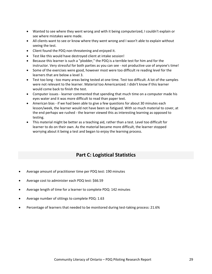- <span id="page-29-0"></span>• Wanted to see where they went wrong and with it being computerized, I couldn't explain or see where mistakes were made.
- All clients want to see or know where they went wrong and I wasn't able to explain without seeing the test.
- Client found the PDQ non-threatening and enjoyed it.
- Test like this would have destroyed client at intake session!
- Because this learner is such a "plodder," the PDQ is a terrible test for him and for the instructor. Very stressful for both parties as you can see ‐ not productive use of anyone's time!
- Some of the exercises were good, however most were too difficult re reading level for the learners that are below a level 3.
- Test too long ‐ too many areas being tested at one time. Test too difficult. A lot of the samples were not relevant to the learner. Material too Americanized. I didn't know if this learner would come back to finish the test.
- Computer issues ‐ learner commented that spending that much time on a computer made his eyes water and it was more difficult to read than paper text.
- American bias if we had been able to give a few questions for about 30 minutes each lesson/week, the learner would not have been so fatigued. With so much material to cover, at the end perhaps we rushed ‐ the learner viewed this as interesting learning as opposed to testing.
- This material might be better as a teaching aid, rather than a test. Level too difficult for learner to do on their own. As the material became more difficult, the learner stopped worrying about it being a test and began to enjoy the learning process.

# **Part C: Logistical Statistics**

- Average amount of practitioner time per PDQ test: 190 minutes
- Average cost to administer each PDQ test: \$66.59
- Average length of time for a learner to complete PDQ: 142 minutes
- Average number of sittings to complete PDQ: 1.63
- Percentage of learners that needed to be monitored during test-taking process: 21.6%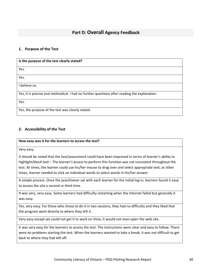### **Part D: Overall Agency Feedback**

#### <span id="page-30-0"></span>**1. Purpose of the Test**

| Is the purpose of the test clearly stated?                                                   |  |
|----------------------------------------------------------------------------------------------|--|
| Yes.                                                                                         |  |
| Yes.                                                                                         |  |
| believe so.                                                                                  |  |
| Yes, it is precise and methodical. I had no further questions after reading the explanation. |  |
| Yes.                                                                                         |  |
| Yes, the purpose of the test was clearly stated.                                             |  |

#### **2. Accessibility of the Test**

#### **How easy was it for the learners to access the test?**

Very easy.

It should be noted that the test/assessment could have been improved in terms of learner's ability to highlight/block text – The learner's access to perform this function was not consistent throughout the test. At times, the learner could use his/her mouse to drag over and select appropriate text; at other times, learner needed to click on individual words to select words in his/her answer.

A simple process. Once the practitioner sat with each learner for the initial log-in, learners found it easy to access the site a second or third time.

It was very, very easy. Some learners had difficulty restarting when the Internet failed but generally it was easy.

Yes, very easy. For those who chose to do it in two sessions, they had no difficulty and they liked that the program went directly to where they left it.

Very easy except we could not get it to work on Vista; it would not even open the web site.

It was very easy for the learners to access the test. The instructions were clear and easy to follow. There were no problems starting the test. When the learners wanted to take a break, it was not difficult to get back to where they had left off.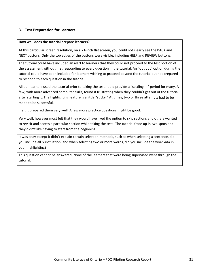#### **3. Test Preparation for Learners**

#### **How well does the tutorial prepare learners?**

At this particular screen resolution, on a 21‐inch flat screen, you could not clearly see the BACK and NEXT buttons. Only the top edges of the buttons were visible, including HELP and REVIEW buttons.

The tutorial could have included an alert to learners that they could not proceed to the test portion of the assessment without first responding to every question in the tutorial. An "opt out" option during the tutorial could have been included for learners wishing to proceed beyond the tutorial but not prepared to respond to each question in the tutorial.

All our learners used the tutorial prior to taking the test. It did provide a "settling in" period for many. A few, with more advanced computer skills, found it frustrating when they couldn't get out of the tutorial after starting it. The highlighting feature is a little "sticky." At times, two or three attempts had to be made to be successful.

I felt it prepared them very well. A few more practice questions might be good.

Very well, however most felt that they would have liked the option to skip sections and others wanted to revisit and access a particular section while taking the test. The tutorial froze up in two spots and they didn't like having to start from the beginning.

It was okay except it didn't explain certain selection methods, such as when selecting a sentence, did you include all punctuation, and when selecting two or more words, did you include the word *and* in your highlighting?

This question cannot be answered. None of the learners that were being supervised went through the tutorial.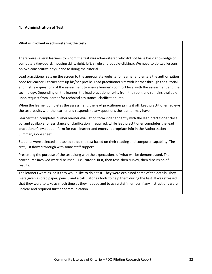#### **4. Administration of Test**

#### **What is involved in administering the test?**

There were several learners to whom the test was administered who did not have basic knowledge of computers (keyboard, mousing skills, right, left, single and double‐clicking). We need to do two lessons, on two consecutive days, prior to doing the tutorial.

Lead practitioner sets up the screen to the appropriate website for learner and enters the authorization code for learner. Learner sets up his/her profile. Lead practitioner sits with learner through the tutorial and first few questions of the assessment to ensure learner's comfort level with the assessment and the technology. Depending on the learner, the lead practitioner exits from the room and remains available upon request from learner for technical assistance, clarification, etc.

When the learner completes the assessment, the lead practitioner prints it off. Lead practitioner reviews the test results with the learner and responds to any questions the learner may have.

Learner then completes his/her learner evaluation form independently with the lead practitioner close by, and available for assistance or clarification if required, while lead practitioner completes the lead practitioner's evaluation form for each learner and enters appropriate info in the Authorization Summary Code sheet.

Students were selected and asked to do the test based on their reading and computer capability. The rest just flowed through with some staff support.

Presenting the purpose of the test along with the expectations of what will be demonstrated. The procedures involved were discussed – i.e., tutorial first, then test, then survey, then discussion of results.

The learners were asked if they would like to do a test. They were explained some of the details. They were given a scrap paper, pencil, and a calculator as tools to help them during the test. It was stressed that they were to take as much time as they needed and to ask a staff member if any instructions were unclear and required further communication.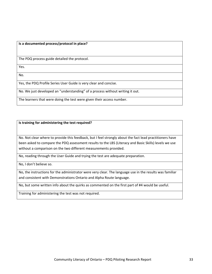**Is a documented process/protocol in place?**

The PDQ process guide detailed the protocol.

Yes.

No.

Yes, the PDQ Profile Series User Guide is very clear and concise.

No. We just developed an "understanding" of a process without writing it out.

The learners that were doing the test were given their access number.

**Is training for administering the test required?**

No. Not clear where to provide this feedback, but I feel strongly about the fact lead practitioners have been asked to compare the PDQ assessment results to the LBS (Literacy and Basic Skills) levels we use without a comparison on the two different measurements provided.

No, reading through the User Guide and trying the test are adequate preparation.

No, I don't believe so.

No, the instructions for the administrator were very clear. The language use in the results was familiar and consistent with Demonstrations Ontario and Alpha Route language.

No, but some written info about the quirks as commented on the first part of #4 would be useful.

Training for administering the test was not required.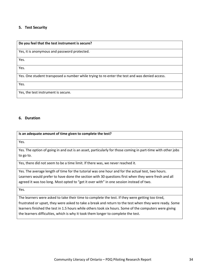#### **5. Test Security**

#### **Do you feel that the test instrument is secure?**

Yes, it is anonymous and password protected.

Yes.

Yes.

Yes. One student transposed a number while trying to re‐enter the test and was denied access.

Yes.

Yes, the test instrument is secure.

#### **6. Duration**

#### **Is an adequate amount of time given to complete the test?**

Yes.

Yes. The option of going in and out is an asset, particularly for those coming in part-time with other jobs to go to.

Yes, there did not seem to be a time limit. If there was, we never reached it.

Yes. The average length of time for the tutorial was one hour and for the actual test, two hours. Learners would prefer to have done the section with 30 questions first when they were fresh and all agreed it was too long. Most opted to "get it over with" in one session instead of two.

Yes.

The learners were asked to take their time to complete the test. If they were getting too tired, frustrated or upset, they were asked to take a break and return to the test when they were ready. Some learners finished the test in 1.5 hours while others took six hours. Some of the computers were giving the learners difficulties, which is why it took them longer to complete the test.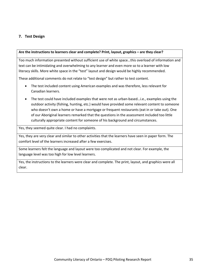#### **7. Test Design**

#### **Are the instructions to learners clear and complete? Print, layout, graphics – are they clear?**

Too much information presented without sufficient use of white space…this overload of information and text can be intimidating and overwhelming to any learner and even more so to a learner with low literacy skills. More white space in the "test" layout and design would be highly recommended.

These additional comments do not relate to "test design" but rather to test content.

- The test included content using American examples and was therefore, less relevant for Canadian learners.
- The test could have included examples that were not as urban‐based…i.e., examples using the outdoor activity (fishing, hunting, etc.) would have provided some relevant content to someone who doesn't own a home or have a mortgage or frequent restaurants (eat in or take out). One of our Aboriginal learners remarked that the questions in the assessment included too little culturally appropriate content for someone of his background and circumstances.

Yes, they seemed quite clear. I had no complaints.

Yes, they are very clear and similar to other activities that the learners have seen in paper form. The comfort level of the learners increased after a few exercises.

Some learners felt the language and layout were too complicated and not clear. For example, the language level was too high for low level learners.

Yes, the instructions to the learners were clear and complete. The print, layout, and graphics were all clear.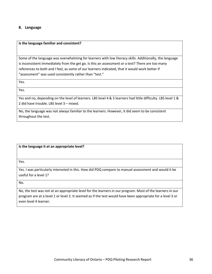#### **8. Language**

#### **Is the language familiar and consistent?**

Some of the language was overwhelming for learners with low literacy skills. Additionally, the language is inconsistent immediately from the get go. Is this an assessment or a test? There are too many references to both and I feel, as some of our learners indicated, that it would work better if "assessment" was used consistently rather than "test."

Yes.

Yes.

Yes and no, depending on the level of learners. LBS level 4 & 5 learners had little difficulty. LBS level 1 & 2 did have trouble. LBS level 3 – mixed.

No, the language was not always familiar to the learners. However, it did seem to be consistent throughout the test.

**Is the language it at an appropriate level?**

Yes.

Yes. I was particularly interested in this. How did PDQ compare to manual assessment and would it be useful for a level 1?

No.

No, the test was not at an appropriate level for the learners in our program. Most of the learners in our program are at a level 1 or level 2. It seemed as if the test would have been appropriate for a level 3 or even level 4 learner.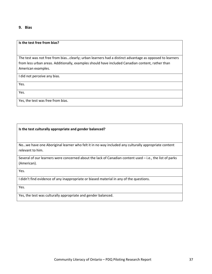#### **9. Bias**

#### **Is the test free from bias?**

The test was not free from bias…clearly; urban learners had a distinct advantage as opposed to learners from less urban areas. Additionally, examples should have included Canadian content, rather than American examples.

I did not perceive any bias.

Yes.

Yes.

Yes, the test was free from bias.

#### **Is the test culturally appropriate and gender balanced?**

No…we have one Aboriginal learner who felt it in no way included any culturally appropriate content relevant to him.

Several of our learners were concerned about the lack of Canadian content used – i.e., the list of parks (American).

Yes.

I didn't find evidence of any inappropriate or biased material in any of the questions.

Yes.

Yes, the test was culturally appropriate and gender balanced.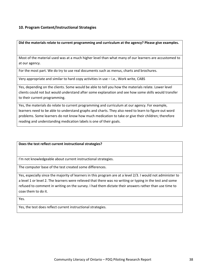#### **10. Program Content/Instructional Strategies**

**Did the materials relate to current programming and curriculum at the agency? Please give examples.**

Most of the material used was at a much higher level than what many of our learners are accustomed to at our agency.

For the most part. We do try to use real documents such as menus, charts and brochures.

Very appropriate and similar to hard copy activities in use – i.e., Work write, CABS

Yes, depending on the clients. Some would be able to tell you how the materials relate. Lower level clients could not but would understand after some explanation and see how some skills would transfer to their current programming.

Yes, the materials do relate to current programming and curriculum at our agency. For example, learners need to be able to understand graphs and charts. They also need to learn to figure out word problems. Some learners do not know how much medication to take or give their children; therefore reading and understanding medication labels is one of their goals.

**Does the test reflect current instructional strategies?**

I'm not knowledgeable about current instructional strategies.

The computer base of the test created some differences.

Yes, especially since the majority of learners in this program are at a level 2/3. I would not administer to a level 1 or level 2. The learners were relieved that there was no writing or typing in the test and some refused to comment in writing on the survey. I had them dictate their answers rather than use time to coax them to do it.

Yes.

Yes, the test does reflect current instructional strategies.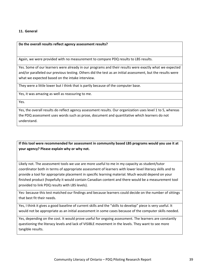#### **11. General**

**Do the overall results reflect agency assessment results?**

Again, we were provided with no measurement to compare PDQ results to LBS results.

Yes. Some of our learners were already in our programs and their results were exactly what we expected and/or paralleled our previous testing. Others did the test as an initial assessment, but the results were what we expected based on the intake interview.

They were a little lower but I think that is partly because of the computer base.

Yes, it was amazing as well as reassuring to me.

Yes.

Yes, the overall results do reflect agency assessment results. Our organization uses level 1 to 5, whereas the PDQ assessment uses words such as prose, document and quantitative which learners do not understand.

**If this tool were recommended for assessment in community based LBS programs would you use it at your agency? Please explain why or why not.**

Likely not. The assessment tools we use are more useful to me in my capacity as student/tutor coordinator both in terms of appropriate assessment of learners with lower level literacy skills and to provide a tool for appropriate placement in specific learning material. Much would depend on your finished product (hopefully it would contain Canadian content and there would be a measurement tool provided to link PDQ results with LBS levels).

Yes‐ because this test matched our findings and because learners could decide on the number of sittings that best fit their needs.

Yes, I think it gives a good baseline of current skills and the "skills to develop" piece is very useful. It would not be appropriate as an initial assessment in some cases because of the computer skills needed.

Yes, depending on the cost. It would prove useful for ongoing assessment. The learners are constantly questioning the literacy levels and lack of VISIBLE movement in the levels. They want to see more tangible results.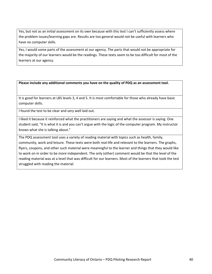Yes, but not as an initial assessment on its own because with this test I can't sufficiently assess where the problem issues/learning gaps are. Results are too general would not be useful with learners who have no computer skills.

Yes, I would some parts of the assessment at our agency. The parts that would not be appropriate for the majority of our learners would be the readings. These texts seem to be too difficult for most of the learners at our agency.

**Please include any additional comments you have on the quality of PDQ as an assessment tool.**

It is good for learners at LBS levels 3, 4 and 5. It is most comfortable for those who already have basic computer skills.

I found the test to be clear and very well laid out.

I liked it because it reinforced what the practitioners are saying and what the assessor is saying. One student said, "It is what it is and you can't argue with the logic of the computer program. My instructor knows what she is talking about."

The PDQ assessment tool uses a variety of reading material with topics such as health, family, community, work and leisure. These texts were both real‐life and relevant to the learners. The graphs, flyers, coupons, and other such material were meaningful to the learner and things that they would like to work on in order to be more independent. The only (other) comment would be that the level of the reading material was at a level that was difficult for our learners. Most of the learners that took the test struggled with reading the material.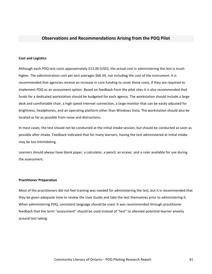#### <span id="page-41-0"></span>**Observations and Recommendations Arising from the PDQ Pilot**

#### **Cost and Logistics**

Although each PDQ test costs approximately \$13.00 (USD), the actual cost in administering the test is much higher. The administration cost per test averages \$66.59, not including the cost of the instrument. It is recommended that agencies receive an increase in core funding to cover these costs, if they are required to implement PDQ as an assessment option. Based on feedback from the pilot sites it is also recommended that funds for a dedicated workstation should be budgeted for each agency. The workstation should include a large desk and comfortable chair, a high speed Internet connection, a large monitor that can be easily adjusted for brightness, headphones, and an operating platform other than Windows Vista. The workstation should also be located as far as possible from noise and distractions.

In most cases, the test should not be conducted at the initial intake session, but should be conducted as soon as possible after intake. Feedback indicated that for many learners, having the test administered at initial intake may be too intimidating.

Learners should always have blank paper, a calculator, a pencil, an eraser, and a ruler available for use during the assessment.

#### **Practitioner Preparation**

Most of the practitioners did not feel training was needed for administering the test, but it is recommended that they be given adequate time to review the User Guide and take the test themselves prior to administering it. When administering PDQ, consistent language should be used. It was recommended through practitioner feedback that the term "assessment" should be used instead of "test" to alleviate potential learner anxiety around test taking.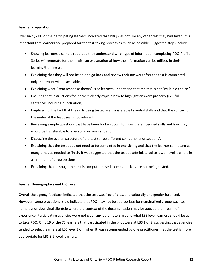#### **Learner Preparation**

Over half (59%) of the participating learners indicated that PDQ was not like any other test they had taken. It is important that learners are prepared for the test-taking process as much as possible. Suggested steps include:

- Showing learners a sample report so they understand what type of information completing PDQ Profile Series will generate for them, with an explanation of how the information can be utilized in their learning/training plan.
- Explaining that they will not be able to go back and review their answers after the test is completed only the report will be available.
- Explaining what "item response theory" is so learners understand that the test is not "multiple choice."
- Ensuring that instructions for learners clearly explain how to highlight answers properly (i.e., full sentences including punctuation).
- Emphasizing the fact that the skills being tested are transferable Essential Skills and that the context of the material the test uses is not relevant.
- Reviewing sample questions that have been broken down to show the embedded skills and how they would be transferable to a personal or work situation.
- Discussing the overall structure of the test (three different components or sections).
- Explaining that the test does not need to be completed in one sitting and that the learner can return as many times as needed to finish. It was suggested that the test be administered to lower level learners in a minimum of three sessions.
- Explaining that although the test is computer based, computer skills are not being tested.

#### **Learner Demographics and LBS Level**

Overall the agency feedback indicated that the test was free of bias, and culturally and gender balanced. However, some practitioners did indicate that PDQ may not be appropriate for marginalized groups such as homeless or aboriginal clientele where the context of the documentation may be outside their realm of experience. Participating agencies were not given any parameters around what LBS level learners should be at to take PDQ. Only 19 of the 75 learners that participated in the pilot were at LBS 1 or 2, suggesting that agencies tended to select learners at LBS level 3 or higher. It was recommended by one practitioner that the test is more appropriate for LBS 3‐5 level learners.